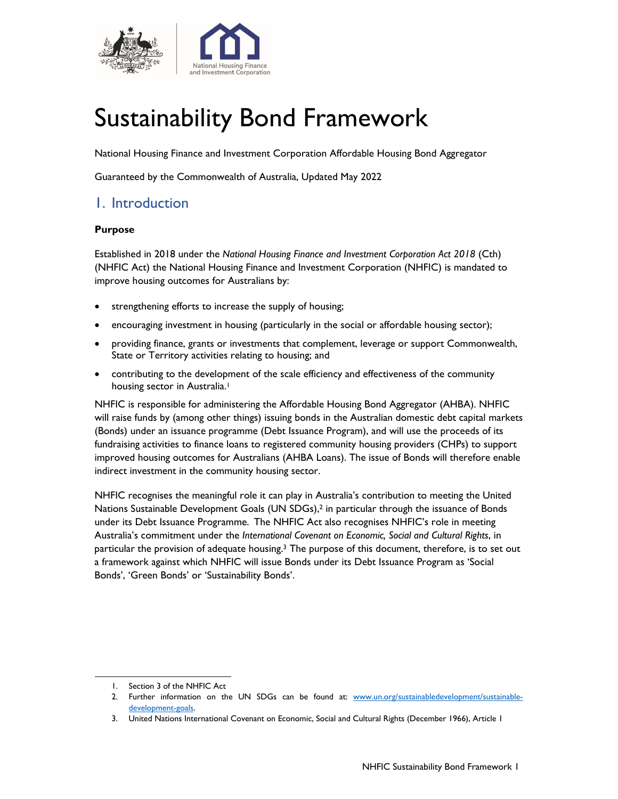

# Sustainability Bond Framework

National Housing Finance and Investment Corporation Affordable Housing Bond Aggregator

Guaranteed by the Commonwealth of Australia, Updated May 2022

## 1. Introduction

#### **Purpose**

Established in 2018 under the *National Housing Finance and Investment Corporation Act 2018* (Cth) (NHFIC Act) the National Housing Finance and Investment Corporation (NHFIC) is mandated to improve housing outcomes for Australians by:

- strengthening efforts to increase the supply of housing;
- encouraging investment in housing (particularly in the social or affordable housing sector);
- providing finance, grants or investments that complement, leverage or support Commonwealth, State or Territory activities relating to housing; and
- contributing to the development of the scale efficiency and effectiveness of the community housing sector in Australia.<sup>1</sup>

NHFIC is responsible for administering the Affordable Housing Bond Aggregator (AHBA). NHFIC will raise funds by (among other things) issuing bonds in the Australian domestic debt capital markets (Bonds) under an issuance programme (Debt Issuance Program), and will use the proceeds of its fundraising activities to finance loans to registered community housing providers (CHPs) to support improved housing outcomes for Australians (AHBA Loans). The issue of Bonds will therefore enable indirect investment in the community housing sector.

NHFIC recognises the meaningful role it can play in Australia's contribution to meeting the United Nations Sustainable Development Goals (UN SDGs),2 in particular through the issuance of Bonds under its Debt Issuance Programme. The NHFIC Act also recognises NHFIC's role in meeting Australia's commitment under the *International Covenant on Economic, Social and Cultural Rights*, in particular the provision of adequate housing.<sup>3</sup> The purpose of this document, therefore, is to set out a framework against which NHFIC will issue Bonds under its Debt Issuance Program as 'Social Bonds', 'Green Bonds' or 'Sustainability Bonds'.

<sup>1.</sup> Section 3 of the NHFIC Act

<sup>2.</sup> Further information on the UN SDGs can be found at: www.un.org/sustainabledevelopment/sustainabledevelopment-goals.

<sup>3.</sup> United Nations International Covenant on Economic, Social and Cultural Rights (December 1966), Article 1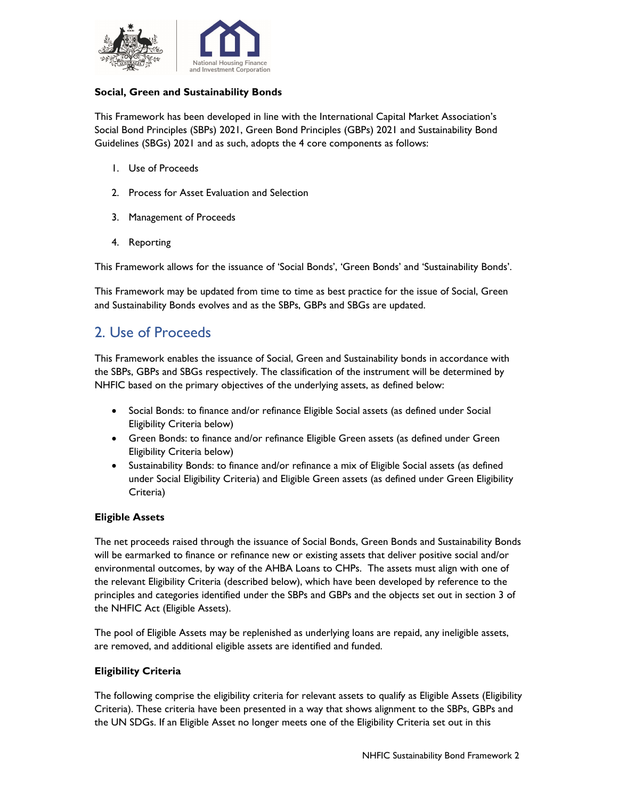

#### **Social, Green and Sustainability Bonds**

This Framework has been developed in line with the International Capital Market Association's Social Bond Principles (SBPs) 2021, Green Bond Principles (GBPs) 2021 and Sustainability Bond Guidelines (SBGs) 2021 and as such, adopts the 4 core components as follows:

- 1. Use of Proceeds
- 2. Process for Asset Evaluation and Selection
- 3. Management of Proceeds
- 4. Reporting

This Framework allows for the issuance of 'Social Bonds', 'Green Bonds' and 'Sustainability Bonds'.

This Framework may be updated from time to time as best practice for the issue of Social, Green and Sustainability Bonds evolves and as the SBPs, GBPs and SBGs are updated.

## 2. Use of Proceeds

This Framework enables the issuance of Social, Green and Sustainability bonds in accordance with the SBPs, GBPs and SBGs respectively. The classification of the instrument will be determined by NHFIC based on the primary objectives of the underlying assets, as defined below:

- Social Bonds: to finance and/or refinance Eligible Social assets (as defined under Social Eligibility Criteria below)
- Green Bonds: to finance and/or refinance Eligible Green assets (as defined under Green Eligibility Criteria below)
- Sustainability Bonds: to finance and/or refinance a mix of Eligible Social assets (as defined under Social Eligibility Criteria) and Eligible Green assets (as defined under Green Eligibility Criteria)

#### **Eligible Assets**

The net proceeds raised through the issuance of Social Bonds, Green Bonds and Sustainability Bonds will be earmarked to finance or refinance new or existing assets that deliver positive social and/or environmental outcomes, by way of the AHBA Loans to CHPs. The assets must align with one of the relevant Eligibility Criteria (described below), which have been developed by reference to the principles and categories identified under the SBPs and GBPs and the objects set out in section 3 of the NHFIC Act (Eligible Assets).

The pool of Eligible Assets may be replenished as underlying loans are repaid, any ineligible assets, are removed, and additional eligible assets are identified and funded.

#### **Eligibility Criteria**

The following comprise the eligibility criteria for relevant assets to qualify as Eligible Assets (Eligibility Criteria). These criteria have been presented in a way that shows alignment to the SBPs, GBPs and the UN SDGs. If an Eligible Asset no longer meets one of the Eligibility Criteria set out in this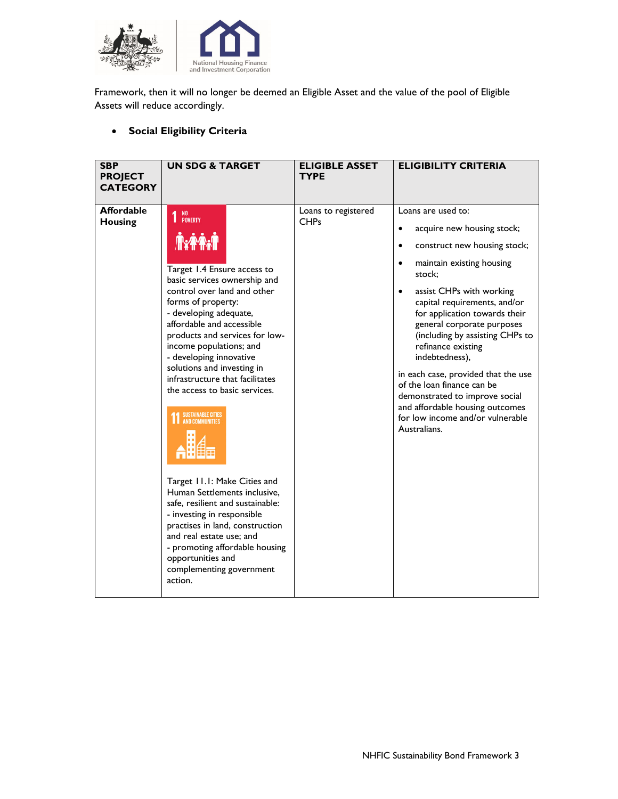

Framework, then it will no longer be deemed an Eligible Asset and the value of the pool of Eligible Assets will reduce accordingly.

#### **Social Eligibility Criteria**

| <b>Affordable</b><br>Loans are used to:<br>Loans to registered<br>NO<br>Poverty<br>1<br><b>CHPs</b><br><b>Housing</b><br>acquire new housing stock;<br>$\bullet$<br><b>TYPA.T</b><br>construct new housing stock;<br>$\bullet$<br>maintain existing housing<br>$\bullet$<br>Target 1.4 Ensure access to<br>stock:<br>basic services ownership and<br>control over land and other<br>assist CHPs with working<br>$\bullet$<br>forms of property:<br>capital requirements, and/or<br>- developing adequate,<br>for application towards their<br>affordable and accessible<br>general corporate purposes<br>products and services for low-<br>income populations; and<br>refinance existing<br>- developing innovative<br>indebtedness),<br>solutions and investing in<br>infrastructure that facilitates<br>of the loan finance can be<br>the access to basic services.<br>demonstrated to improve social<br>and affordable housing outcomes<br>SUSTAINABLE CITIES<br>AND COMMUNITIES<br>for low income and/or vulnerable<br>Australians.<br>Target 11.1: Make Cities and<br>Human Settlements inclusive,<br>safe, resilient and sustainable:<br>- investing in responsible<br>practises in land, construction<br>and real estate use; and<br>- promoting affordable housing | <b>SBP</b><br><b>PROJECT</b><br><b>CATEGORY</b> | <b>UN SDG &amp; TARGET</b> | <b>ELIGIBLE ASSET</b><br><b>TYPE</b> | <b>ELIGIBILITY CRITERIA</b>                                            |
|----------------------------------------------------------------------------------------------------------------------------------------------------------------------------------------------------------------------------------------------------------------------------------------------------------------------------------------------------------------------------------------------------------------------------------------------------------------------------------------------------------------------------------------------------------------------------------------------------------------------------------------------------------------------------------------------------------------------------------------------------------------------------------------------------------------------------------------------------------------------------------------------------------------------------------------------------------------------------------------------------------------------------------------------------------------------------------------------------------------------------------------------------------------------------------------------------------------------------------------------------------------------------|-------------------------------------------------|----------------------------|--------------------------------------|------------------------------------------------------------------------|
| complementing government<br>action.                                                                                                                                                                                                                                                                                                                                                                                                                                                                                                                                                                                                                                                                                                                                                                                                                                                                                                                                                                                                                                                                                                                                                                                                                                        |                                                 | opportunities and          |                                      | (including by assisting CHPs to<br>in each case, provided that the use |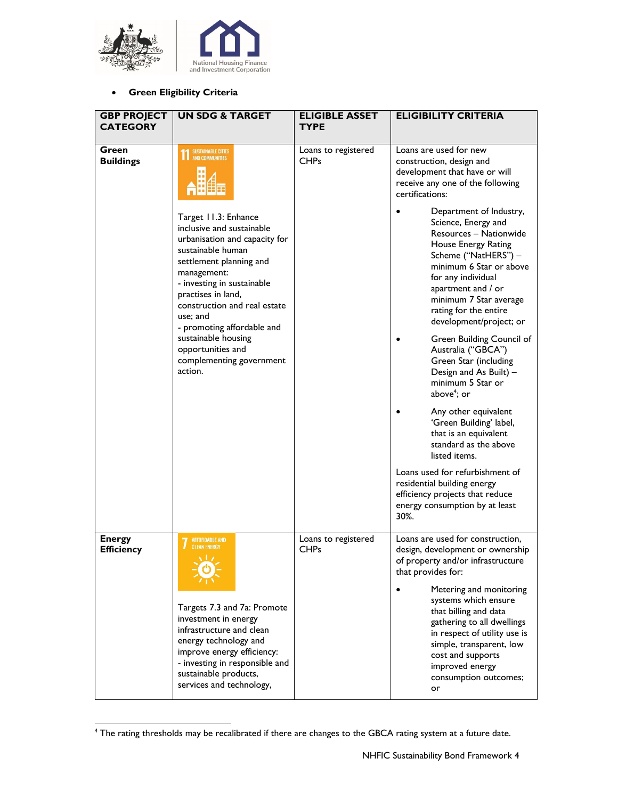

#### **Green Eligibility Criteria**

| <b>GBP PROJECT</b><br><b>CATEGORY</b> | <b>UN SDG &amp; TARGET</b>                                                                                                                                                                                                    | <b>ELIGIBLE ASSET</b><br><b>TYPE</b> | <b>ELIGIBILITY CRITERIA</b>                                                                                                                                                                                                               |
|---------------------------------------|-------------------------------------------------------------------------------------------------------------------------------------------------------------------------------------------------------------------------------|--------------------------------------|-------------------------------------------------------------------------------------------------------------------------------------------------------------------------------------------------------------------------------------------|
| Green<br><b>Buildings</b>             | SUSTAINABLE CITIES<br>AND COMMUNITIES<br>Target 11.3: Enhance<br>inclusive and sustainable<br>urbanisation and capacity for                                                                                                   | Loans to registered<br><b>CHPs</b>   | Loans are used for new<br>construction, design and<br>development that have or will<br>receive any one of the following<br>certifications:<br>Department of Industry,<br>Science, Energy and<br>Resources - Nationwide                    |
|                                       | sustainable human<br>settlement planning and<br>management:<br>- investing in sustainable<br>practises in land,<br>construction and real estate<br>use; and<br>- promoting affordable and                                     |                                      | House Energy Rating<br>Scheme ("NatHERS") -<br>minimum 6 Star or above<br>for any individual<br>apartment and / or<br>minimum 7 Star average<br>rating for the entire<br>development/project; or                                          |
|                                       | sustainable housing<br>opportunities and<br>complementing government<br>action.                                                                                                                                               |                                      | Green Building Council of<br>Australia ("GBCA")<br>Green Star (including<br>Design and As Built) -<br>minimum 5 Star or<br>above <sup>4</sup> ; or                                                                                        |
|                                       |                                                                                                                                                                                                                               |                                      | Any other equivalent<br>'Green Building' label,<br>that is an equivalent<br>standard as the above<br>listed items.                                                                                                                        |
|                                       |                                                                                                                                                                                                                               |                                      | Loans used for refurbishment of<br>residential building energy<br>efficiency projects that reduce<br>energy consumption by at least<br>30%.                                                                                               |
| <b>Energy</b><br><b>Efficiency</b>    | AFFORDABLE AND<br><b>CLEAN ENERGY</b><br>$\Delta$ 1.2.                                                                                                                                                                        | Loans to registered<br><b>CHPs</b>   | Loans are used for construction,<br>design, development or ownership<br>of property and/or infrastructure<br>that provides for:                                                                                                           |
|                                       | Targets 7.3 and 7a: Promote<br>investment in energy<br>infrastructure and clean<br>energy technology and<br>improve energy efficiency:<br>- investing in responsible and<br>sustainable products,<br>services and technology, |                                      | Metering and monitoring<br>systems which ensure<br>that billing and data<br>gathering to all dwellings<br>in respect of utility use is<br>simple, transparent, low<br>cost and supports<br>improved energy<br>consumption outcomes;<br>or |

<sup>4</sup> The rating thresholds may be recalibrated if there are changes to the GBCA rating system at a future date.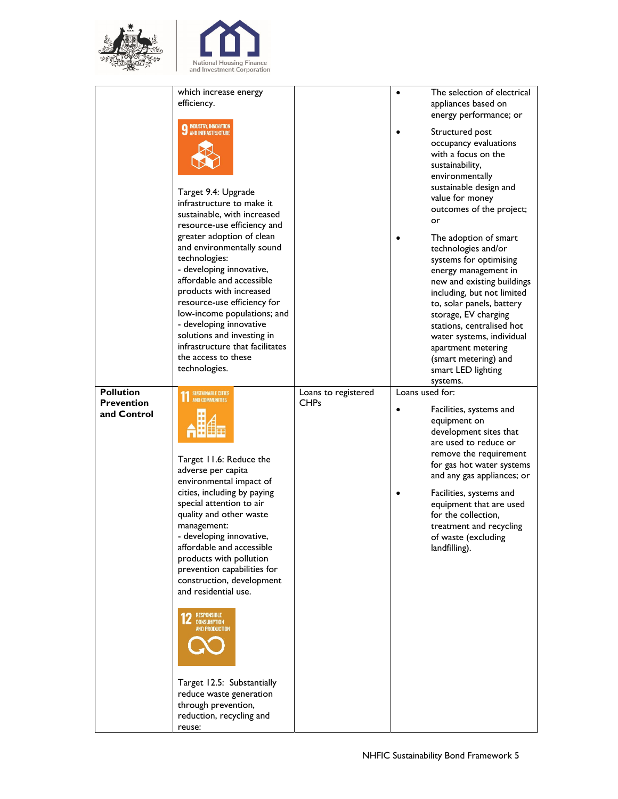



|                   | which increase energy                                    |                     | $\bullet$       | The selection of electrical                        |
|-------------------|----------------------------------------------------------|---------------------|-----------------|----------------------------------------------------|
|                   | efficiency.                                              |                     |                 | appliances based on                                |
|                   |                                                          |                     |                 | energy performance; or                             |
|                   | <b>INDUSTRY, INNOVATION</b><br><b>AND INFRASTRUCTURE</b> |                     |                 | Structured post                                    |
|                   |                                                          |                     |                 | occupancy evaluations                              |
|                   |                                                          |                     |                 | with a focus on the                                |
|                   |                                                          |                     |                 | sustainability,                                    |
|                   |                                                          |                     |                 | environmentally                                    |
|                   | Target 9.4: Upgrade                                      |                     |                 | sustainable design and                             |
|                   | infrastructure to make it                                |                     |                 | value for money                                    |
|                   | sustainable, with increased                              |                     |                 | outcomes of the project;<br>or                     |
|                   | resource-use efficiency and                              |                     |                 |                                                    |
|                   | greater adoption of clean                                |                     |                 | The adoption of smart                              |
|                   | and environmentally sound                                |                     |                 | technologies and/or                                |
|                   | technologies:<br>- developing innovative,                |                     |                 | systems for optimising                             |
|                   | affordable and accessible                                |                     |                 | energy management in<br>new and existing buildings |
|                   | products with increased                                  |                     |                 | including, but not limited                         |
|                   | resource-use efficiency for                              |                     |                 | to, solar panels, battery                          |
|                   | low-income populations; and                              |                     |                 | storage, EV charging                               |
|                   | - developing innovative                                  |                     |                 | stations, centralised hot                          |
|                   | solutions and investing in                               |                     |                 | water systems, individual                          |
|                   | infrastructure that facilitates                          |                     |                 | apartment metering                                 |
|                   | the access to these                                      |                     |                 | (smart metering) and                               |
|                   | technologies.                                            |                     |                 | smart LED lighting                                 |
| <b>Pollution</b>  | <b>SUSTAINABLE CITIES</b>                                | Loans to registered | Loans used for: | systems.                                           |
| <b>Prevention</b> | <b>AND COMMUNITIES</b>                                   | <b>CHPs</b>         |                 |                                                    |
| and Control       |                                                          |                     |                 | Facilities, systems and                            |
|                   |                                                          |                     |                 | equipment on<br>development sites that             |
|                   |                                                          |                     |                 | are used to reduce or                              |
|                   |                                                          |                     |                 | remove the requirement                             |
|                   | Target 11.6: Reduce the                                  |                     |                 | for gas hot water systems                          |
|                   | adverse per capita<br>environmental impact of            |                     |                 | and any gas appliances; or                         |
|                   | cities, including by paying                              |                     |                 |                                                    |
|                   |                                                          |                     |                 |                                                    |
|                   |                                                          |                     |                 | Facilities, systems and                            |
|                   | special attention to air<br>quality and other waste      |                     |                 | equipment that are used                            |
|                   | management:                                              |                     |                 | for the collection,<br>treatment and recycling     |
|                   | - developing innovative,                                 |                     |                 | of waste (excluding                                |
|                   | affordable and accessible                                |                     |                 | landfilling).                                      |
|                   | products with pollution                                  |                     |                 |                                                    |
|                   | prevention capabilities for                              |                     |                 |                                                    |
|                   | construction, development                                |                     |                 |                                                    |
|                   | and residential use.                                     |                     |                 |                                                    |
|                   |                                                          |                     |                 |                                                    |
|                   | <b>12</b> RESPONSIBLE<br><b>AND PRODUCTION</b>           |                     |                 |                                                    |
|                   |                                                          |                     |                 |                                                    |
|                   |                                                          |                     |                 |                                                    |
|                   |                                                          |                     |                 |                                                    |
|                   |                                                          |                     |                 |                                                    |
|                   | Target 12.5: Substantially                               |                     |                 |                                                    |
|                   | reduce waste generation<br>through prevention,           |                     |                 |                                                    |
|                   | reduction, recycling and                                 |                     |                 |                                                    |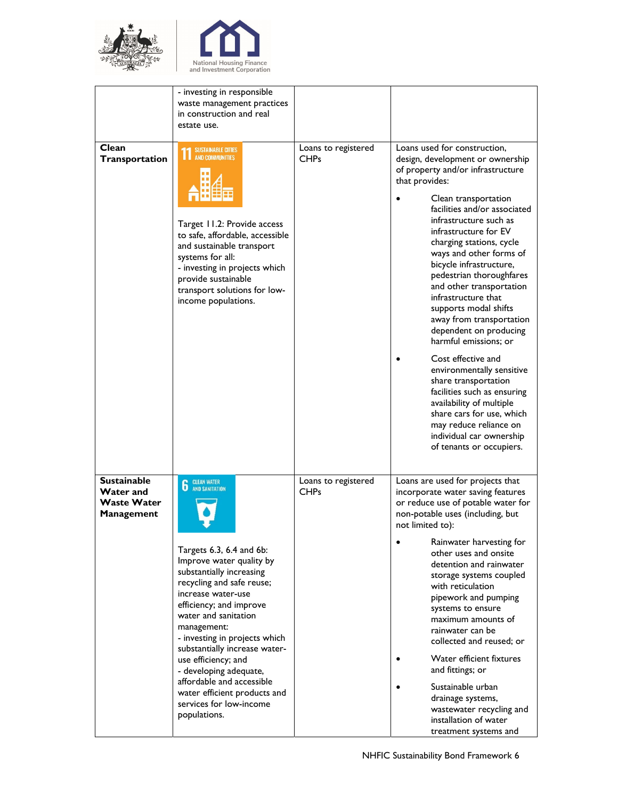



|                                                                     | - investing in responsible<br>waste management practices<br>in construction and real<br>estate use.                                                                                                                                                                                                                                                                                                                                                      |                                    |                                                                                                                                                                                                                                                                                                                                                                                                                                                                                                                                                                                                                                                                                                                                                                  |
|---------------------------------------------------------------------|----------------------------------------------------------------------------------------------------------------------------------------------------------------------------------------------------------------------------------------------------------------------------------------------------------------------------------------------------------------------------------------------------------------------------------------------------------|------------------------------------|------------------------------------------------------------------------------------------------------------------------------------------------------------------------------------------------------------------------------------------------------------------------------------------------------------------------------------------------------------------------------------------------------------------------------------------------------------------------------------------------------------------------------------------------------------------------------------------------------------------------------------------------------------------------------------------------------------------------------------------------------------------|
| Clean<br>Transportation                                             | <b>SUSTAINABLE CITIES</b><br><b>AND COMMUNITIES</b><br>Target 11.2: Provide access<br>to safe, affordable, accessible<br>and sustainable transport<br>systems for all:<br>- investing in projects which<br>provide sustainable<br>transport solutions for low-<br>income populations.                                                                                                                                                                    | Loans to registered<br><b>CHPs</b> | Loans used for construction,<br>design, development or ownership<br>of property and/or infrastructure<br>that provides:<br>Clean transportation<br>facilities and/or associated<br>infrastructure such as<br>infrastructure for EV<br>charging stations, cycle<br>ways and other forms of<br>bicycle infrastructure,<br>pedestrian thoroughfares<br>and other transportation<br>infrastructure that<br>supports modal shifts<br>away from transportation<br>dependent on producing<br>harmful emissions: or<br>Cost effective and<br>environmentally sensitive<br>share transportation<br>facilities such as ensuring<br>availability of multiple<br>share cars for use, which<br>may reduce reliance on<br>individual car ownership<br>of tenants or occupiers. |
| <b>Sustainable</b><br>Water and<br><b>Waste Water</b><br>Management | <b>6</b> CLEAN WATER<br>Targets 6.3, 6.4 and 6b:<br>Improve water quality by<br>substantially increasing<br>recycling and safe reuse;<br>increase water-use<br>efficiency; and improve<br>water and sanitation<br>management:<br>- investing in projects which<br>substantially increase water-<br>use efficiency; and<br>- developing adequate,<br>affordable and accessible<br>water efficient products and<br>services for low-income<br>populations. | Loans to registered<br><b>CHPs</b> | Loans are used for projects that<br>incorporate water saving features<br>or reduce use of potable water for<br>non-potable uses (including, but<br>not limited to):<br>Rainwater harvesting for<br>other uses and onsite<br>detention and rainwater<br>storage systems coupled<br>with reticulation<br>pipework and pumping<br>systems to ensure<br>maximum amounts of<br>rainwater can be<br>collected and reused; or<br>Water efficient fixtures<br>and fittings; or<br>Sustainable urban<br>drainage systems,<br>wastewater recycling and<br>installation of water<br>treatment systems and                                                                                                                                                                   |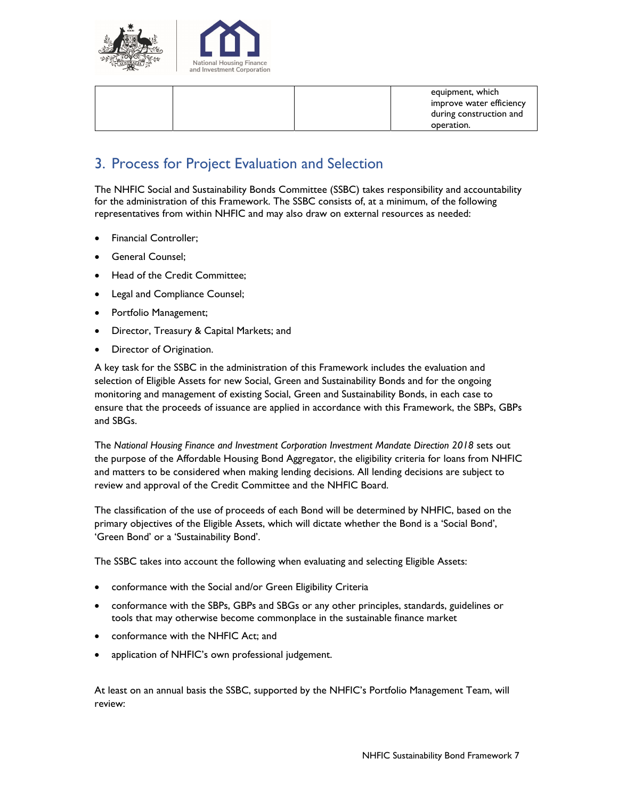

| equipment, which         |
|--------------------------|
| improve water efficiency |
| during construction and  |
| operation.               |

## 3. Process for Project Evaluation and Selection

The NHFIC Social and Sustainability Bonds Committee (SSBC) takes responsibility and accountability for the administration of this Framework. The SSBC consists of, at a minimum, of the following representatives from within NHFIC and may also draw on external resources as needed:

- Financial Controller;
- General Counsel;
- Head of the Credit Committee;
- Legal and Compliance Counsel;
- Portfolio Management;
- Director, Treasury & Capital Markets; and
- **•** Director of Origination.

A key task for the SSBC in the administration of this Framework includes the evaluation and selection of Eligible Assets for new Social, Green and Sustainability Bonds and for the ongoing monitoring and management of existing Social, Green and Sustainability Bonds, in each case to ensure that the proceeds of issuance are applied in accordance with this Framework, the SBPs, GBPs and SBGs.

The *National Housing Finance and Investment Corporation Investment Mandate Direction 2018* sets out the purpose of the Affordable Housing Bond Aggregator, the eligibility criteria for loans from NHFIC and matters to be considered when making lending decisions. All lending decisions are subject to review and approval of the Credit Committee and the NHFIC Board.

The classification of the use of proceeds of each Bond will be determined by NHFIC, based on the primary objectives of the Eligible Assets, which will dictate whether the Bond is a 'Social Bond', 'Green Bond' or a 'Sustainability Bond'.

The SSBC takes into account the following when evaluating and selecting Eligible Assets:

- conformance with the Social and/or Green Eligibility Criteria
- conformance with the SBPs, GBPs and SBGs or any other principles, standards, guidelines or tools that may otherwise become commonplace in the sustainable finance market
- conformance with the NHFIC Act; and
- application of NHFIC's own professional judgement.

At least on an annual basis the SSBC, supported by the NHFIC's Portfolio Management Team, will review: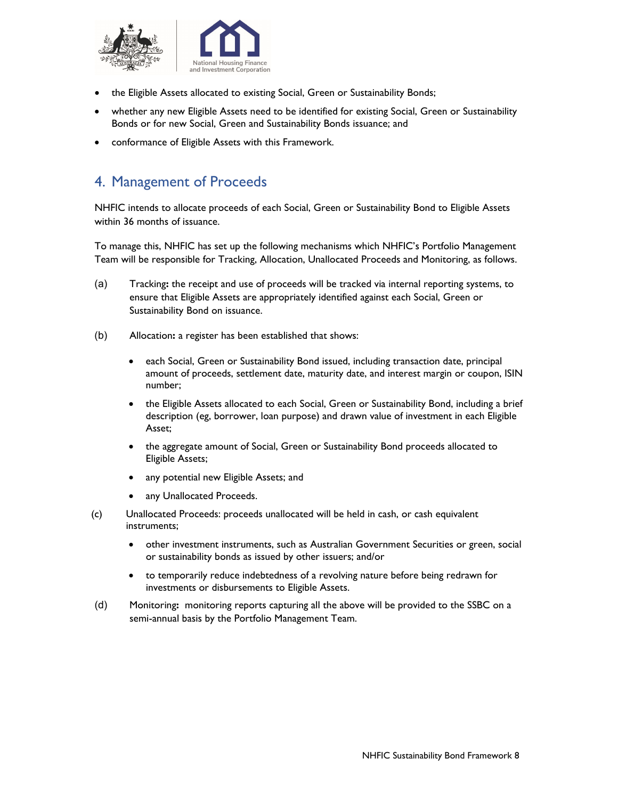

- the Eligible Assets allocated to existing Social, Green or Sustainability Bonds;
- whether any new Eligible Assets need to be identified for existing Social, Green or Sustainability Bonds or for new Social, Green and Sustainability Bonds issuance; and
- conformance of Eligible Assets with this Framework.

## 4. Management of Proceeds

NHFIC intends to allocate proceeds of each Social, Green or Sustainability Bond to Eligible Assets within 36 months of issuance.

To manage this, NHFIC has set up the following mechanisms which NHFIC's Portfolio Management Team will be responsible for Tracking, Allocation, Unallocated Proceeds and Monitoring, as follows.

- (a) Tracking**:** the receipt and use of proceeds will be tracked via internal reporting systems, to ensure that Eligible Assets are appropriately identified against each Social, Green or Sustainability Bond on issuance.
- (b) Allocation**:** a register has been established that shows:
	- each Social, Green or Sustainability Bond issued, including transaction date, principal amount of proceeds, settlement date, maturity date, and interest margin or coupon, ISIN number;
	- the Eligible Assets allocated to each Social, Green or Sustainability Bond, including a brief description (eg, borrower, loan purpose) and drawn value of investment in each Eligible Asset;
	- the aggregate amount of Social, Green or Sustainability Bond proceeds allocated to Eligible Assets;
	- any potential new Eligible Assets; and
	- any Unallocated Proceeds.
- (c) Unallocated Proceeds: proceeds unallocated will be held in cash, or cash equivalent instruments;
	- other investment instruments, such as Australian Government Securities or green, social or sustainability bonds as issued by other issuers; and/or
	- to temporarily reduce indebtedness of a revolving nature before being redrawn for investments or disbursements to Eligible Assets.
- (d) Monitoring**:** monitoring reports capturing all the above will be provided to the SSBC on a semi-annual basis by the Portfolio Management Team.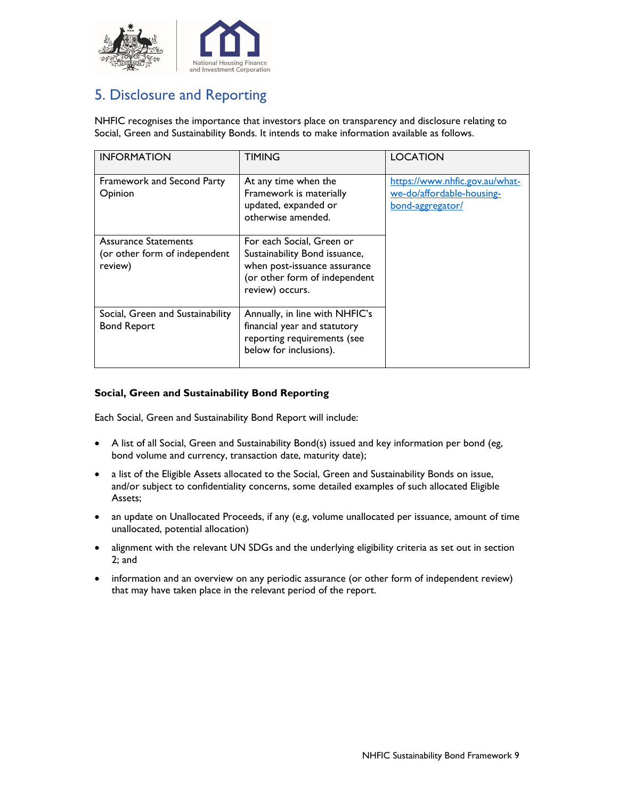

## 5. Disclosure and Reporting

NHFIC recognises the importance that investors place on transparency and disclosure relating to Social, Green and Sustainability Bonds. It intends to make information available as follows.

| <b>INFORMATION</b>                                                      | <b>TIMING</b>                                                                                                                                  | <b>LOCATION</b>                                                                 |
|-------------------------------------------------------------------------|------------------------------------------------------------------------------------------------------------------------------------------------|---------------------------------------------------------------------------------|
| Framework and Second Party<br>Opinion                                   | At any time when the<br>Framework is materially<br>updated, expanded or<br>otherwise amended.                                                  | https://www.nhfic.gov.au/what-<br>we-do/affordable-housing-<br>bond-aggregator/ |
| <b>Assurance Statements</b><br>(or other form of independent<br>review) | For each Social, Green or<br>Sustainability Bond issuance,<br>when post-issuance assurance<br>(or other form of independent<br>review) occurs. |                                                                                 |
| Social, Green and Sustainability<br><b>Bond Report</b>                  | Annually, in line with NHFIC's<br>financial year and statutory<br>reporting requirements (see<br>below for inclusions).                        |                                                                                 |

#### **Social, Green and Sustainability Bond Reporting**

Each Social, Green and Sustainability Bond Report will include:

- A list of all Social, Green and Sustainability Bond(s) issued and key information per bond (eg, bond volume and currency, transaction date, maturity date);
- a list of the Eligible Assets allocated to the Social, Green and Sustainability Bonds on issue, and/or subject to confidentiality concerns, some detailed examples of such allocated Eligible Assets;
- an update on Unallocated Proceeds, if any (e.g, volume unallocated per issuance, amount of time unallocated, potential allocation)
- alignment with the relevant UN SDGs and the underlying eligibility criteria as set out in section 2; and
- information and an overview on any periodic assurance (or other form of independent review) that may have taken place in the relevant period of the report.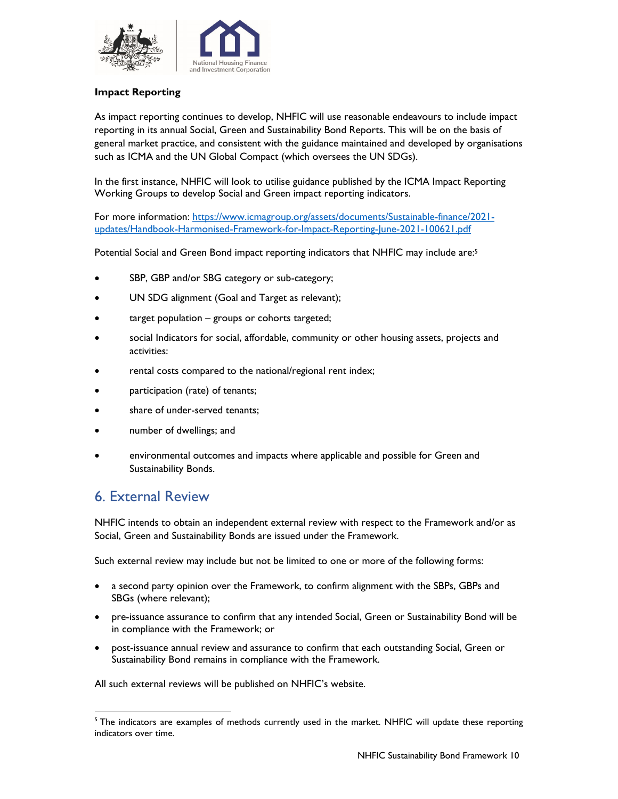

#### **Impact Reporting**

As impact reporting continues to develop, NHFIC will use reasonable endeavours to include impact reporting in its annual Social, Green and Sustainability Bond Reports. This will be on the basis of general market practice, and consistent with the guidance maintained and developed by organisations such as ICMA and the UN Global Compact (which oversees the UN SDGs).

In the first instance, NHFIC will look to utilise guidance published by the ICMA Impact Reporting Working Groups to develop Social and Green impact reporting indicators.

For more information: https://www.icmagroup.org/assets/documents/Sustainable-finance/2021 updates/Handbook-Harmonised-Framework-for-Impact-Reporting-June-2021-100621.pdf

Potential Social and Green Bond impact reporting indicators that NHFIC may include are:5

- SBP, GBP and/or SBG category or sub-category;
- UN SDG alignment (Goal and Target as relevant);
- target population groups or cohorts targeted;
- social Indicators for social, affordable, community or other housing assets, projects and activities:
- rental costs compared to the national/regional rent index;
- participation (rate) of tenants;
- share of under-served tenants;
- number of dwellings; and
- environmental outcomes and impacts where applicable and possible for Green and Sustainability Bonds.

### 6. External Review

NHFIC intends to obtain an independent external review with respect to the Framework and/or as Social, Green and Sustainability Bonds are issued under the Framework.

Such external review may include but not be limited to one or more of the following forms:

- a second party opinion over the Framework, to confirm alignment with the SBPs, GBPs and SBGs (where relevant);
- pre-issuance assurance to confirm that any intended Social, Green or Sustainability Bond will be in compliance with the Framework; or
- post-issuance annual review and assurance to confirm that each outstanding Social, Green or Sustainability Bond remains in compliance with the Framework.

All such external reviews will be published on NHFIC's website.

<sup>&</sup>lt;sup>5</sup> The indicators are examples of methods currently used in the market. NHFIC will update these reporting indicators over time.